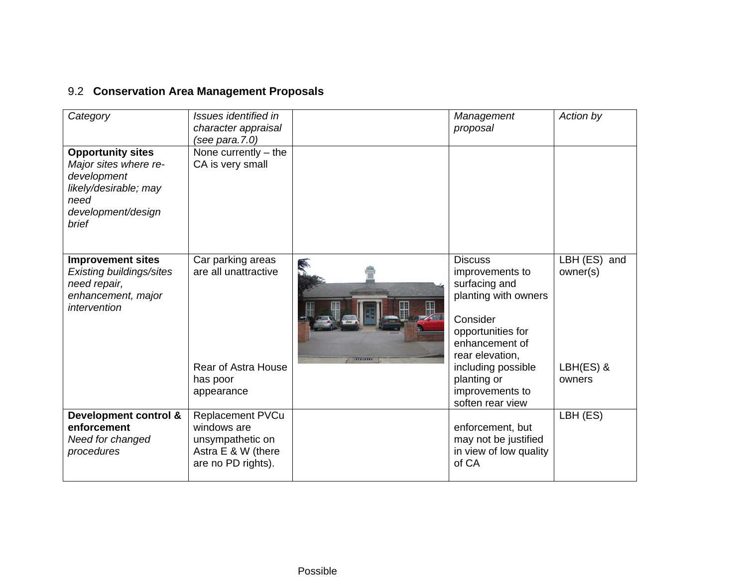## 9.2 **Conservation Area Management Proposals**

| Category                                                                                                                         | Issues identified in<br>character appraisal<br>(see para.7.0)                                          |           | Management<br>proposal                                                                                                                                                                                   | Action by                                       |
|----------------------------------------------------------------------------------------------------------------------------------|--------------------------------------------------------------------------------------------------------|-----------|----------------------------------------------------------------------------------------------------------------------------------------------------------------------------------------------------------|-------------------------------------------------|
| <b>Opportunity sites</b><br>Major sites where re-<br>development<br>likely/desirable; may<br>need<br>development/design<br>brief | None currently $-$ the<br>CA is very small                                                             |           |                                                                                                                                                                                                          |                                                 |
| <b>Improvement sites</b><br>Existing buildings/sites<br>need repair,<br>enhancement, major<br>intervention                       | Car parking areas<br>are all unattractive<br><b>Rear of Astra House</b><br>has poor<br>appearance      | 788888888 | <b>Discuss</b><br>improvements to<br>surfacing and<br>planting with owners<br>Consider<br>opportunities for<br>enhancement of<br>rear elevation,<br>including possible<br>planting or<br>improvements to | LBH (ES) and<br>owner(s)<br>LBH(ES) &<br>owners |
| Development control &<br>enforcement<br>Need for changed<br>procedures                                                           | <b>Replacement PVCu</b><br>windows are<br>unsympathetic on<br>Astra E & W (there<br>are no PD rights). |           | soften rear view<br>enforcement, but<br>may not be justified<br>in view of low quality<br>of CA                                                                                                          | LBH (ES)                                        |